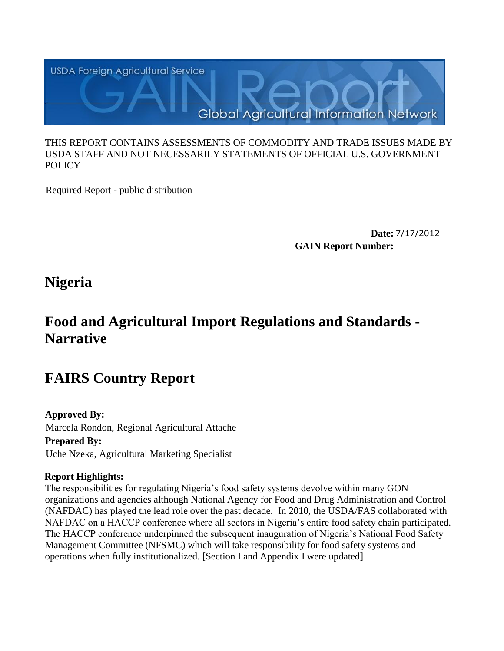

#### THIS REPORT CONTAINS ASSESSMENTS OF COMMODITY AND TRADE ISSUES MADE BY USDA STAFF AND NOT NECESSARILY STATEMENTS OF OFFICIAL U.S. GOVERNMENT POLICY

Required Report - public distribution

**Date:** 7/17/2012 **GAIN Report Number:**

**Nigeria**

## **Food and Agricultural Import Regulations and Standards - Narrative**

# **FAIRS Country Report**

## **Approved By:**

Marcela Rondon, Regional Agricultural Attache

## **Prepared By:**

Uche Nzeka, Agricultural Marketing Specialist

## **Report Highlights:**

The responsibilities for regulating Nigeria"s food safety systems devolve within many GON organizations and agencies although National Agency for Food and Drug Administration and Control (NAFDAC) has played the lead role over the past decade. In 2010, the USDA/FAS collaborated with NAFDAC on a HACCP conference where all sectors in Nigeria's entire food safety chain participated. The HACCP conference underpinned the subsequent inauguration of Nigeria's National Food Safety Management Committee (NFSMC) which will take responsibility for food safety systems and operations when fully institutionalized. [Section I and Appendix I were updated]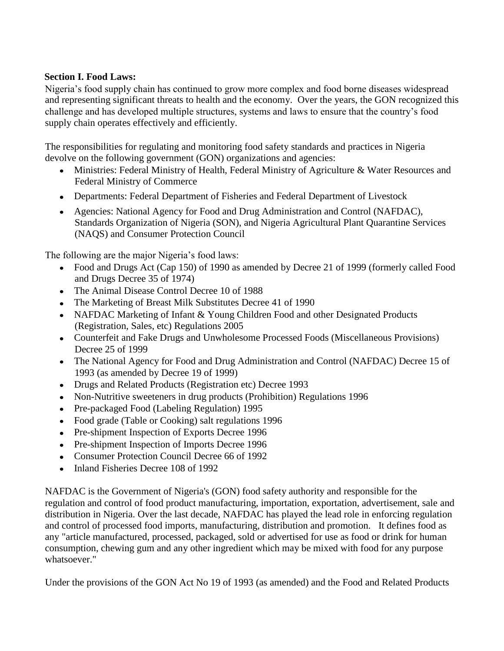#### **Section I. Food Laws:**

Nigeria"s food supply chain has continued to grow more complex and food borne diseases widespread and representing significant threats to health and the economy. Over the years, the GON recognized this challenge and has developed multiple structures, systems and laws to ensure that the country"s food supply chain operates effectively and efficiently.

The responsibilities for regulating and monitoring food safety standards and practices in Nigeria devolve on the following government (GON) organizations and agencies:

- Ministries: Federal Ministry of Health, Federal Ministry of Agriculture & Water Resources and Federal Ministry of Commerce
- Departments: Federal Department of Fisheries and Federal Department of Livestock
- Agencies: National Agency for Food and Drug Administration and Control (NAFDAC), Standards Organization of Nigeria (SON), and Nigeria Agricultural Plant Quarantine Services (NAQS) and Consumer Protection Council

The following are the major Nigeria's food laws:

- Food and Drugs Act (Cap 150) of 1990 as amended by Decree 21 of 1999 (formerly called Food and Drugs Decree 35 of 1974)
- The Animal Disease Control Decree 10 of 1988
- The Marketing of Breast Milk Substitutes Decree 41 of 1990
- NAFDAC Marketing of Infant & Young Children Food and other Designated Products (Registration, Sales, etc) Regulations 2005
- Counterfeit and Fake Drugs and Unwholesome Processed Foods (Miscellaneous Provisions) Decree 25 of 1999
- The National Agency for Food and Drug Administration and Control (NAFDAC) Decree 15 of 1993 (as amended by Decree 19 of 1999)
- Drugs and Related Products (Registration etc) Decree 1993
- Non-Nutritive sweeteners in drug products (Prohibition) Regulations 1996
- Pre-packaged Food (Labeling Regulation) 1995
- Food grade (Table or Cooking) salt regulations 1996
- Pre-shipment Inspection of Exports Decree 1996
- Pre-shipment Inspection of Imports Decree 1996
- Consumer Protection Council Decree 66 of 1992
- Inland Fisheries Decree 108 of 1992

NAFDAC is the Government of Nigeria's (GON) food safety authority and responsible for the regulation and control of food product manufacturing, importation, exportation, advertisement, sale and distribution in Nigeria. Over the last decade, NAFDAC has played the lead role in enforcing regulation and control of processed food imports, manufacturing, distribution and promotion. It defines food as any "article manufactured, processed, packaged, sold or advertised for use as food or drink for human consumption, chewing gum and any other ingredient which may be mixed with food for any purpose whatsoever."

Under the provisions of the GON Act No 19 of 1993 (as amended) and the Food and Related Products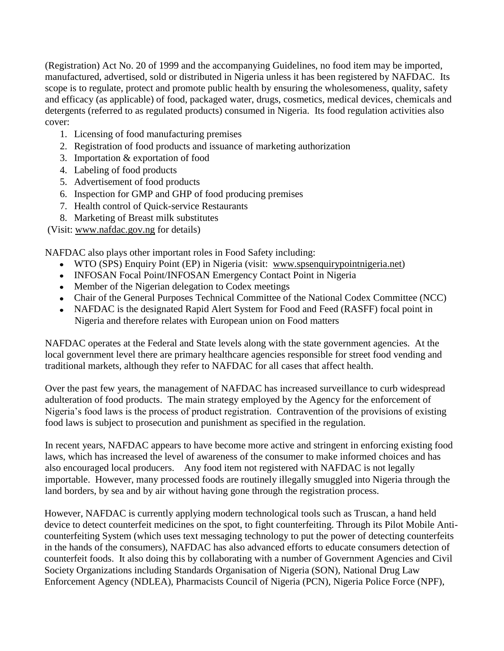(Registration) Act No. 20 of 1999 and the accompanying Guidelines, no food item may be imported, manufactured, advertised, sold or distributed in Nigeria unless it has been registered by NAFDAC. Its scope is to regulate, protect and promote public health by ensuring the wholesomeness, quality, safety and efficacy (as applicable) of food, packaged water, drugs, cosmetics, medical devices, chemicals and detergents (referred to as regulated products) consumed in Nigeria. Its food regulation activities also cover:

- 1. Licensing of food manufacturing premises
- 2. Registration of food products and issuance of marketing authorization
- 3. Importation & exportation of food
- 4. Labeling of food products
- 5. Advertisement of food products
- 6. Inspection for GMP and GHP of food producing premises
- 7. Health control of Quick-service Restaurants
- 8. Marketing of Breast milk substitutes

(Visit: [www.nafdac.gov.ng](http://www.nafdac.gov.ng/) for details)

NAFDAC also plays other important roles in Food Safety including:

- WTO (SPS) Enquiry Point (EP) in Nigeria (visit: [www.spsenquirypointnigeria.net\)](http://www.spsenquirypointnigeria.net/)
- INFOSAN Focal Point/INFOSAN Emergency Contact Point in Nigeria
- Member of the Nigerian delegation to Codex meetings
- Chair of the General Purposes Technical Committee of the National Codex Committee (NCC)
- NAFDAC is the designated Rapid Alert System for Food and Feed (RASFF) focal point in Nigeria and therefore relates with European union on Food matters

NAFDAC operates at the Federal and State levels along with the state government agencies. At the local government level there are primary healthcare agencies responsible for street food vending and traditional markets, although they refer to NAFDAC for all cases that affect health.

Over the past few years, the management of NAFDAC has increased surveillance to curb widespread adulteration of food products. The main strategy employed by the Agency for the enforcement of Nigeria"s food laws is the process of product registration. Contravention of the provisions of existing food laws is subject to prosecution and punishment as specified in the regulation.

In recent years, NAFDAC appears to have become more active and stringent in enforcing existing food laws, which has increased the level of awareness of the consumer to make informed choices and has also encouraged local producers. Any food item not registered with NAFDAC is not legally importable. However, many processed foods are routinely illegally smuggled into Nigeria through the land borders, by sea and by air without having gone through the registration process.

However, NAFDAC is currently applying modern technological tools such as Truscan, a hand held device to detect counterfeit medicines on the spot, to fight counterfeiting. Through its Pilot Mobile Anticounterfeiting System (which uses text messaging technology to put the power of detecting counterfeits in the hands of the consumers), NAFDAC has also advanced efforts to educate consumers detection of counterfeit foods. It also doing this by collaborating with a number of Government Agencies and Civil Society Organizations including Standards Organisation of Nigeria (SON), National Drug Law Enforcement Agency (NDLEA), Pharmacists Council of Nigeria (PCN), Nigeria Police Force (NPF),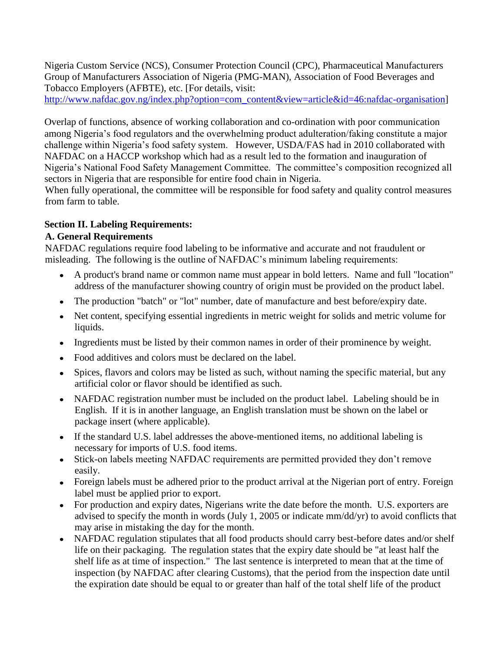Nigeria Custom Service (NCS), Consumer Protection Council (CPC), Pharmaceutical Manufacturers Group of Manufacturers Association of Nigeria (PMG-MAN), Association of Food Beverages and Tobacco Employers (AFBTE), etc. [For details, visit:

[http://www.nafdac.gov.ng/index.php?option=com\\_content&view=article&id=46:nafdac-organisation\]](http://www.nafdac.gov.ng/index.php?option=com_content&view=article&id=46:nafdac-organisation)

Overlap of functions, absence of working collaboration and co-ordination with poor communication among Nigeria"s food regulators and the overwhelming product adulteration/faking constitute a major challenge within Nigeria"s food safety system. However, USDA/FAS had in 2010 collaborated with NAFDAC on a HACCP workshop which had as a result led to the formation and inauguration of Nigeria"s National Food Safety Management Committee. The committee"s composition recognized all sectors in Nigeria that are responsible for entire food chain in Nigeria.

When fully operational, the committee will be responsible for food safety and quality control measures from farm to table.

#### **Section II. Labeling Requirements:**

#### **A. General Requirements**

NAFDAC regulations require food labeling to be informative and accurate and not fraudulent or misleading. The following is the outline of NAFDAC"s minimum labeling requirements:

- A product's brand name or common name must appear in bold letters. Name and full "location" address of the manufacturer showing country of origin must be provided on the product label.
- The production "batch" or "lot" number, date of manufacture and best before/expiry date.
- Net content, specifying essential ingredients in metric weight for solids and metric volume for liquids.
- Ingredients must be listed by their common names in order of their prominence by weight.  $\bullet$
- Food additives and colors must be declared on the label.
- Spices, flavors and colors may be listed as such, without naming the specific material, but any artificial color or flavor should be identified as such.
- NAFDAC registration number must be included on the product label. Labeling should be in English. If it is in another language, an English translation must be shown on the label or package insert (where applicable).
- If the standard U.S. label addresses the above-mentioned items, no additional labeling is necessary for imports of U.S. food items.
- Stick-on labels meeting NAFDAC requirements are permitted provided they don"t remove easily.
- Foreign labels must be adhered prior to the product arrival at the Nigerian port of entry. Foreign label must be applied prior to export.
- For production and expiry dates, Nigerians write the date before the month. U.S. exporters are  $\bullet$ advised to specify the month in words (July 1, 2005 or indicate mm/dd/yr) to avoid conflicts that may arise in mistaking the day for the month.
- NAFDAC regulation stipulates that all food products should carry best-before dates and/or shelf  $\bullet$ life on their packaging. The regulation states that the expiry date should be "at least half the shelf life as at time of inspection." The last sentence is interpreted to mean that at the time of inspection (by NAFDAC after clearing Customs), that the period from the inspection date until the expiration date should be equal to or greater than half of the total shelf life of the product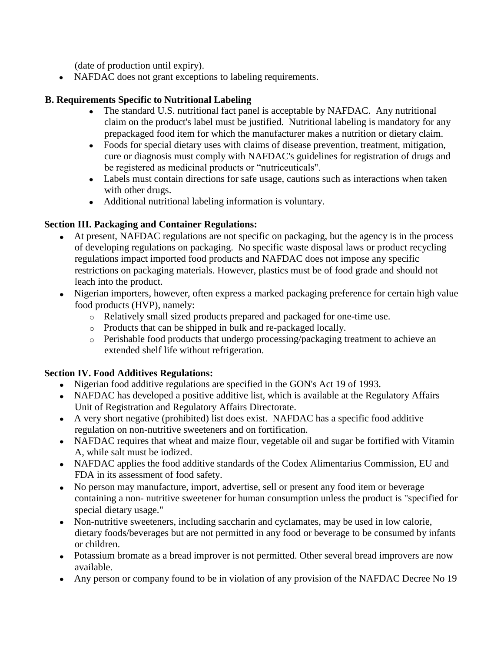(date of production until expiry).

• NAFDAC does not grant exceptions to labeling requirements.

## **B. Requirements Specific to Nutritional Labeling**

- The standard U.S. nutritional fact panel is acceptable by NAFDAC. Any nutritional claim on the product's label must be justified. Nutritional labeling is mandatory for any prepackaged food item for which the manufacturer makes a nutrition or dietary claim.
- Foods for special dietary uses with claims of disease prevention, treatment, mitigation, cure or diagnosis must comply with NAFDAC's guidelines for registration of drugs and be registered as medicinal products or "nutriceuticals".
- Labels must contain directions for safe usage, cautions such as interactions when taken with other drugs.
- Additional nutritional labeling information is voluntary.

## **Section III. Packaging and Container Regulations:**

- At present, NAFDAC regulations are not specific on packaging, but the agency is in the process of developing regulations on packaging. No specific waste disposal laws or product recycling regulations impact imported food products and NAFDAC does not impose any specific restrictions on packaging materials. However, plastics must be of food grade and should not leach into the product.
- Nigerian importers, however, often express a marked packaging preference for certain high value food products (HVP), namely:
	- o Relatively small sized products prepared and packaged for one-time use.
	- o Products that can be shipped in bulk and re-packaged locally.
	- o Perishable food products that undergo processing/packaging treatment to achieve an extended shelf life without refrigeration.

## **Section IV. Food Additives Regulations:**

- Nigerian food additive regulations are specified in the GON's Act 19 of 1993.
- NAFDAC has developed a positive additive list, which is available at the Regulatory Affairs Unit of Registration and Regulatory Affairs Directorate.
- A very short negative (prohibited) list does exist. NAFDAC has a specific food additive regulation on non-nutritive sweeteners and on fortification.
- NAFDAC requires that wheat and maize flour, vegetable oil and sugar be fortified with Vitamin A, while salt must be iodized.
- NAFDAC applies the food additive standards of the Codex Alimentarius Commission, EU and FDA in its assessment of food safety.
- No person may manufacture, import, advertise, sell or present any food item or beverage containing a non- nutritive sweetener for human consumption unless the product is "specified for special dietary usage."
- Non-nutritive sweeteners, including saccharin and cyclamates, may be used in low calorie, dietary foods/beverages but are not permitted in any food or beverage to be consumed by infants or children.
- Potassium bromate as a bread improver is not permitted. Other several bread improvers are now available.
- Any person or company found to be in violation of any provision of the NAFDAC Decree No 19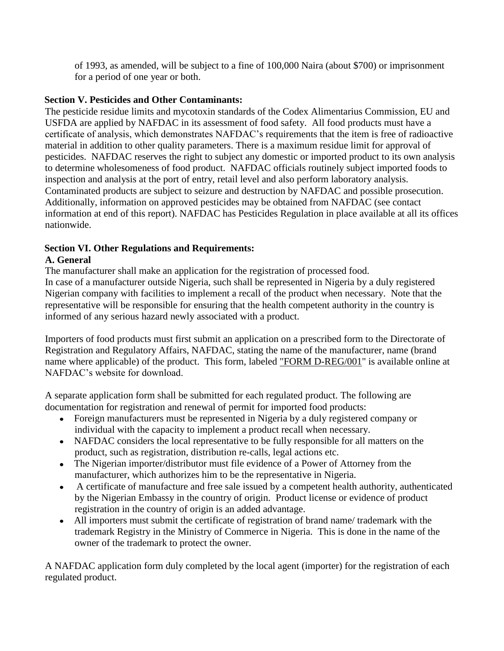of 1993, as amended, will be subject to a fine of 100,000 Naira (about \$700) or imprisonment for a period of one year or both.

#### **Section V. Pesticides and Other Contaminants:**

The pesticide residue limits and mycotoxin standards of the Codex Alimentarius Commission, EU and USFDA are applied by NAFDAC in its assessment of food safety. All food products must have a certificate of analysis, which demonstrates NAFDAC"s requirements that the item is free of radioactive material in addition to other quality parameters. There is a maximum residue limit for approval of pesticides. NAFDAC reserves the right to subject any domestic or imported product to its own analysis to determine wholesomeness of food product. NAFDAC officials routinely subject imported foods to inspection and analysis at the port of entry, retail level and also perform laboratory analysis. Contaminated products are subject to seizure and destruction by NAFDAC and possible prosecution. Additionally, information on approved pesticides may be obtained from NAFDAC (see contact information at end of this report). NAFDAC has Pesticides Regulation in place available at all its offices nationwide.

## **Section VI. Other Regulations and Requirements:**

## **A. General**

The manufacturer shall make an application for the registration of processed food.

In case of a manufacturer outside Nigeria, such shall be represented in Nigeria by a duly registered Nigerian company with facilities to implement a recall of the product when necessary. Note that the representative will be responsible for ensuring that the health competent authority in the country is informed of any serious hazard newly associated with a product.

Importers of food products must first submit an application on a prescribed form to the Directorate of Registration and Regulatory Affairs, NAFDAC, stating the name of the manufacturer, name (brand name where applicable) of the product. This form, labeled ["FORM D-REG/001"](http://www.nafdacnigeria.org/FOOD%20PRODUCTS.pdf) is available online at NAFDAC"s website for download.

A separate application form shall be submitted for each regulated product. The following are documentation for registration and renewal of permit for imported food products:

- Foreign manufacturers must be represented in Nigeria by a duly registered company or individual with the capacity to implement a product recall when necessary.
- NAFDAC considers the local representative to be fully responsible for all matters on the product, such as registration, distribution re-calls, legal actions etc.
- The Nigerian importer/distributor must file evidence of a Power of Attorney from the manufacturer, which authorizes him to be the representative in Nigeria.
- A certificate of manufacture and free sale issued by a competent health authority, authenticated  $\bullet$ by the Nigerian Embassy in the country of origin. Product license or evidence of product registration in the country of origin is an added advantage.
- All importers must submit the certificate of registration of brand name/ trademark with the trademark Registry in the Ministry of Commerce in Nigeria. This is done in the name of the owner of the trademark to protect the owner.

A NAFDAC application form duly completed by the local agent (importer) for the registration of each regulated product.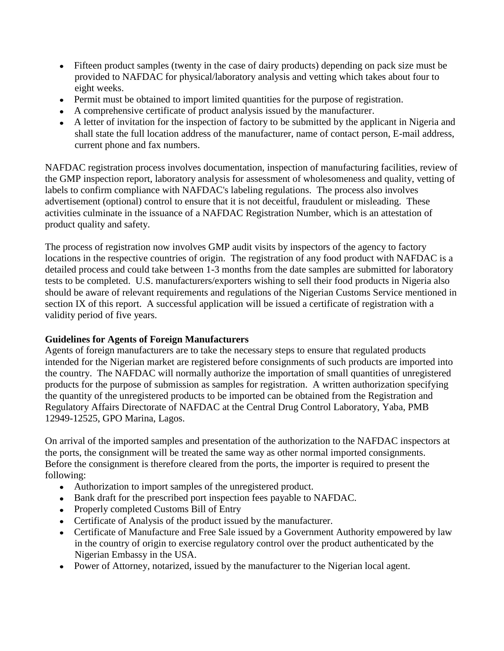- Fifteen product samples (twenty in the case of dairy products) depending on pack size must be provided to NAFDAC for physical/laboratory analysis and vetting which takes about four to eight weeks.
- Permit must be obtained to import limited quantities for the purpose of registration.
- A comprehensive certificate of product analysis issued by the manufacturer.
- A letter of invitation for the inspection of factory to be submitted by the applicant in Nigeria and shall state the full location address of the manufacturer, name of contact person, E-mail address, current phone and fax numbers.

NAFDAC registration process involves documentation, inspection of manufacturing facilities, review of the GMP inspection report, laboratory analysis for assessment of wholesomeness and quality, vetting of labels to confirm compliance with NAFDAC's labeling regulations. The process also involves advertisement (optional) control to ensure that it is not deceitful, fraudulent or misleading. These activities culminate in the issuance of a NAFDAC Registration Number, which is an attestation of product quality and safety.

The process of registration now involves GMP audit visits by inspectors of the agency to factory locations in the respective countries of origin. The registration of any food product with NAFDAC is a detailed process and could take between 1-3 months from the date samples are submitted for laboratory tests to be completed. U.S. manufacturers/exporters wishing to sell their food products in Nigeria also should be aware of relevant requirements and regulations of the Nigerian Customs Service mentioned in section IX of this report. A successful application will be issued a certificate of registration with a validity period of five years.

#### **Guidelines for Agents of Foreign Manufacturers**

Agents of foreign manufacturers are to take the necessary steps to ensure that regulated products intended for the Nigerian market are registered before consignments of such products are imported into the country. The NAFDAC will normally authorize the importation of small quantities of unregistered products for the purpose of submission as samples for registration. A written authorization specifying the quantity of the unregistered products to be imported can be obtained from the Registration and Regulatory Affairs Directorate of NAFDAC at the Central Drug Control Laboratory, Yaba, PMB 12949-12525, GPO Marina, Lagos.

On arrival of the imported samples and presentation of the authorization to the NAFDAC inspectors at the ports, the consignment will be treated the same way as other normal imported consignments. Before the consignment is therefore cleared from the ports, the importer is required to present the following:

- Authorization to import samples of the unregistered product.
- Bank draft for the prescribed port inspection fees payable to NAFDAC.
- Properly completed Customs Bill of Entry
- Certificate of Analysis of the product issued by the manufacturer.
- Certificate of Manufacture and Free Sale issued by a Government Authority empowered by law in the country of origin to exercise regulatory control over the product authenticated by the Nigerian Embassy in the USA.
- Power of Attorney, notarized, issued by the manufacturer to the Nigerian local agent.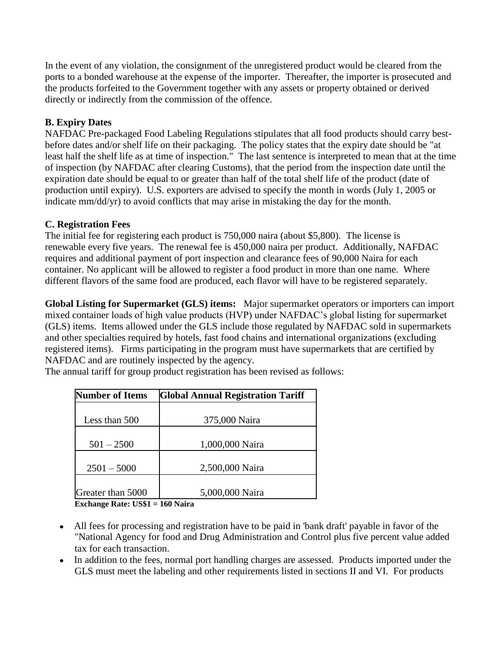In the event of any violation, the consignment of the unregistered product would be cleared from the ports to a bonded warehouse at the expense of the importer. Thereafter, the importer is prosecuted and the products forfeited to the Government together with any assets or property obtained or derived directly or indirectly from the commission of the offence.

#### **B. Expiry Dates**

NAFDAC Pre-packaged Food Labeling Regulations stipulates that all food products should carry bestbefore dates and/or shelf life on their packaging. The policy states that the expiry date should be "at least half the shelf life as at time of inspection." The last sentence is interpreted to mean that at the time of inspection (by NAFDAC after clearing Customs), that the period from the inspection date until the expiration date should be equal to or greater than half of the total shelf life of the product (date of production until expiry). U.S. exporters are advised to specify the month in words (July 1, 2005 or indicate mm/dd/yr) to avoid conflicts that may arise in mistaking the day for the month.

#### **C. Registration Fees**

The initial fee for registering each product is 750,000 naira (about \$5,800). The license is renewable every five years. The renewal fee is 450,000 naira per product. Additionally, NAFDAC requires and additional payment of port inspection and clearance fees of 90,000 Naira for each container. No applicant will be allowed to register a food product in more than one name. Where different flavors of the same food are produced, each flavor will have to be registered separately.

**Global Listing for Supermarket (GLS) items:** Major supermarket operators or importers can import mixed container loads of high value products (HVP) under NAFDAC"s global listing for supermarket (GLS) items. Items allowed under the GLS include those regulated by NAFDAC sold in supermarkets and other specialties required by hotels, fast food chains and international organizations (excluding registered items). Firms participating in the program must have supermarkets that are certified by NAFDAC and are routinely inspected by the agency.

| <b>Number of Items</b> | <b>Global Annual Registration Tariff</b> |
|------------------------|------------------------------------------|
|                        |                                          |
| Less than 500          | 375,000 Naira                            |
| $501 - 2500$           | 1,000,000 Naira                          |
| $2501 - 5000$          | 2,500,000 Naira                          |
| Greater than 5000      | 5,000,000 Naira                          |

The annual tariff for group product registration has been revised as follows:

**Exchange Rate: US\$1 = 160 Naira** 

- All fees for processing and registration have to be paid in 'bank draft' payable in favor of the "National Agency for food and Drug Administration and Control plus five percent value added tax for each transaction.
- In addition to the fees, normal port handling charges are assessed. Products imported under the GLS must meet the labeling and other requirements listed in sections II and VI. For products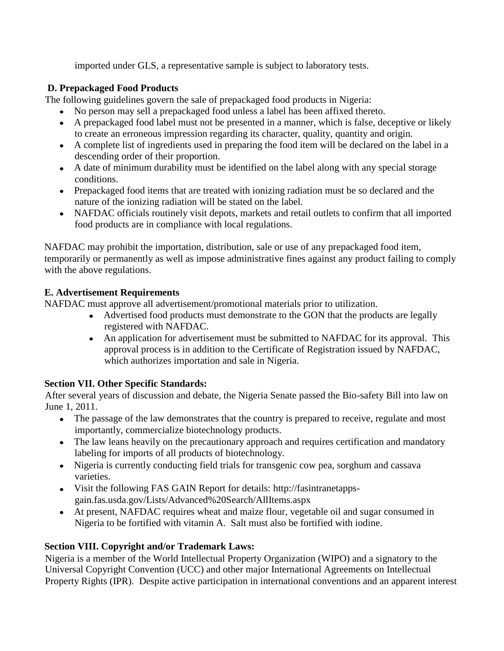imported under GLS, a representative sample is subject to laboratory tests.

## **D. Prepackaged Food Products**

The following guidelines govern the sale of prepackaged food products in Nigeria:

- No person may sell a prepackaged food unless a label has been affixed thereto.
- A prepackaged food label must not be presented in a manner, which is false, deceptive or likely to create an erroneous impression regarding its character, quality, quantity and origin.
- A complete list of ingredients used in preparing the food item will be declared on the label in a descending order of their proportion.
- A date of minimum durability must be identified on the label along with any special storage conditions.
- Prepackaged food items that are treated with ionizing radiation must be so declared and the nature of the ionizing radiation will be stated on the label.
- NAFDAC officials routinely visit depots, markets and retail outlets to confirm that all imported food products are in compliance with local regulations.

NAFDAC may prohibit the importation, distribution, sale or use of any prepackaged food item, temporarily or permanently as well as impose administrative fines against any product failing to comply with the above regulations.

## **E. Advertisement Requirements**

NAFDAC must approve all advertisement/promotional materials prior to utilization.

- Advertised food products must demonstrate to the GON that the products are legally registered with NAFDAC.
- An application for advertisement must be submitted to NAFDAC for its approval. This approval process is in addition to the Certificate of Registration issued by NAFDAC, which authorizes importation and sale in Nigeria.

## **Section VII. Other Specific Standards:**

After several years of discussion and debate, the Nigeria Senate passed the Bio-safety Bill into law on June 1, 2011.

- The passage of the law demonstrates that the country is prepared to receive, regulate and most importantly, commercialize biotechnology products.
- The law leans heavily on the precautionary approach and requires certification and mandatory labeling for imports of all products of biotechnology.
- Nigeria is currently conducting field trials for transgenic cow pea, sorghum and cassava varieties.
- Visit the following FAS GAIN Report for details: http://fasintranetappsgain.fas.usda.gov/Lists/Advanced%20Search/AllItems.aspx
- At present, NAFDAC requires wheat and maize flour, vegetable oil and sugar consumed in Nigeria to be fortified with vitamin A. Salt must also be fortified with iodine.

## **Section VIII. Copyright and/or Trademark Laws:**

Nigeria is a member of the World Intellectual Property Organization (WIPO) and a signatory to the Universal Copyright Convention (UCC) and other major International Agreements on Intellectual Property Rights (IPR). Despite active participation in international conventions and an apparent interest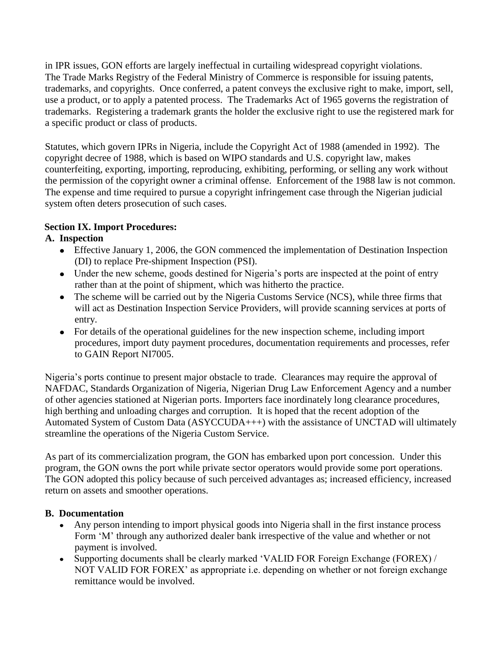in IPR issues, GON efforts are largely ineffectual in curtailing widespread copyright violations. The Trade Marks Registry of the Federal Ministry of Commerce is responsible for issuing patents, trademarks, and copyrights. Once conferred, a patent conveys the exclusive right to make, import, sell, use a product, or to apply a patented process. The Trademarks Act of 1965 governs the registration of trademarks. Registering a trademark grants the holder the exclusive right to use the registered mark for a specific product or class of products.

Statutes, which govern IPRs in Nigeria, include the Copyright Act of 1988 (amended in 1992). The copyright decree of 1988, which is based on WIPO standards and U.S. copyright law, makes counterfeiting, exporting, importing, reproducing, exhibiting, performing, or selling any work without the permission of the copyright owner a criminal offense. Enforcement of the 1988 law is not common. The expense and time required to pursue a copyright infringement case through the Nigerian judicial system often deters prosecution of such cases.

## **Section IX. Import Procedures:**

#### **A. Inspection**

- Effective January 1, 2006, the GON commenced the implementation of Destination Inspection (DI) to replace Pre-shipment Inspection (PSI).
- Under the new scheme, goods destined for Nigeria's ports are inspected at the point of entry rather than at the point of shipment, which was hitherto the practice.
- The scheme will be carried out by the Nigeria Customs Service (NCS), while three firms that will act as Destination Inspection Service Providers, will provide scanning services at ports of entry.
- For details of the operational guidelines for the new inspection scheme, including import procedures, import duty payment procedures, documentation requirements and processes, refer to GAIN Report NI7005.

Nigeria"s ports continue to present major obstacle to trade. Clearances may require the approval of NAFDAC, Standards Organization of Nigeria, Nigerian Drug Law Enforcement Agency and a number of other agencies stationed at Nigerian ports. Importers face inordinately long clearance procedures, high berthing and unloading charges and corruption. It is hoped that the recent adoption of the Automated System of Custom Data (ASYCCUDA+++) with the assistance of UNCTAD will ultimately streamline the operations of the Nigeria Custom Service.

As part of its commercialization program, the GON has embarked upon port concession. Under this program, the GON owns the port while private sector operators would provide some port operations. The GON adopted this policy because of such perceived advantages as; increased efficiency, increased return on assets and smoother operations.

## **B. Documentation**

- Any person intending to import physical goods into Nigeria shall in the first instance process Form "M" through any authorized dealer bank irrespective of the value and whether or not payment is involved.
- Supporting documents shall be clearly marked "VALID FOR Foreign Exchange (FOREX) / NOT VALID FOR FOREX" as appropriate i.e. depending on whether or not foreign exchange remittance would be involved.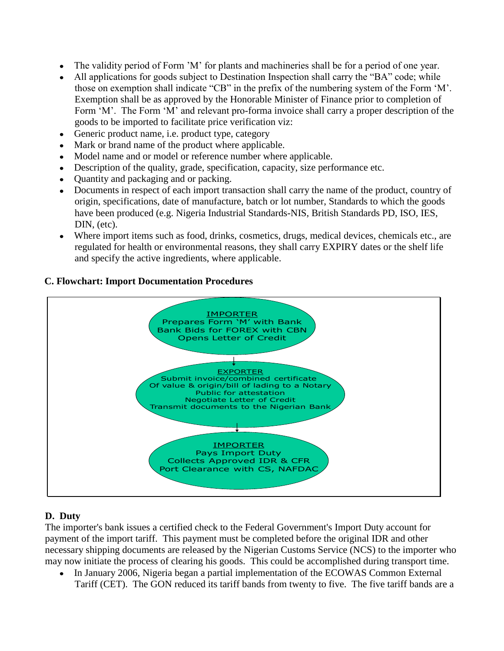- The validity period of Form "M" for plants and machineries shall be for a period of one year.
- All applications for goods subject to Destination Inspection shall carry the "BA" code; while those on exemption shall indicate "CB" in the prefix of the numbering system of the Form "M". Exemption shall be as approved by the Honorable Minister of Finance prior to completion of Form 'M'. The Form 'M' and relevant pro-forma invoice shall carry a proper description of the goods to be imported to facilitate price verification viz:
- Generic product name, i.e. product type, category
- Mark or brand name of the product where applicable.
- Model name and or model or reference number where applicable.
- Description of the quality, grade, specification, capacity, size performance etc.
- Quantity and packaging and or packing.
- Documents in respect of each import transaction shall carry the name of the product, country of origin, specifications, date of manufacture, batch or lot number, Standards to which the goods have been produced (e.g. Nigeria Industrial Standards-NIS, British Standards PD, ISO, IES, DIN, (etc).
- Where import items such as food, drinks, cosmetics, drugs, medical devices, chemicals etc., are regulated for health or environmental reasons, they shall carry EXPIRY dates or the shelf life and specify the active ingredients, where applicable.

#### **C. Flowchart: Import Documentation Procedures**



## **D. Duty**

The importer's bank issues a certified check to the Federal Government's Import Duty account for payment of the import tariff. This payment must be completed before the original IDR and other necessary shipping documents are released by the Nigerian Customs Service (NCS) to the importer who may now initiate the process of clearing his goods. This could be accomplished during transport time.

In January 2006, Nigeria began a partial implementation of the ECOWAS Common External Tariff (CET). The GON reduced its tariff bands from twenty to five. The five tariff bands are a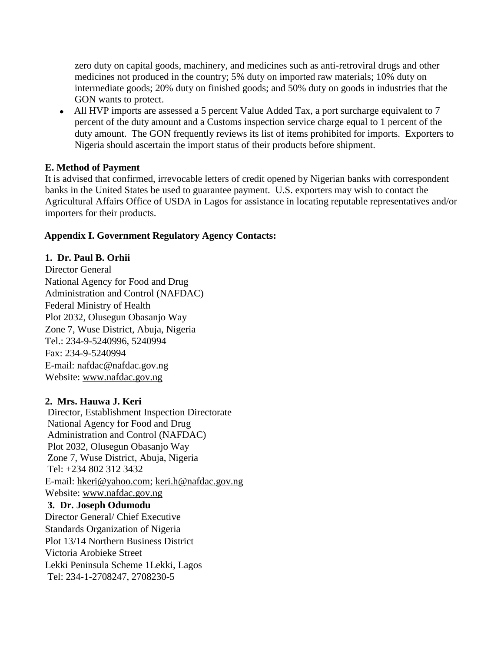zero duty on capital goods, machinery, and medicines such as anti-retroviral drugs and other medicines not produced in the country; 5% duty on imported raw materials; 10% duty on intermediate goods; 20% duty on finished goods; and 50% duty on goods in industries that the GON wants to protect.

• All HVP imports are assessed a 5 percent Value Added Tax, a port surcharge equivalent to 7 percent of the duty amount and a Customs inspection service charge equal to 1 percent of the duty amount. The GON frequently reviews its list of items prohibited for imports. Exporters to Nigeria should ascertain the import status of their products before shipment.

#### **E. Method of Payment**

It is advised that confirmed, irrevocable letters of credit opened by Nigerian banks with correspondent banks in the United States be used to guarantee payment. U.S. exporters may wish to contact the Agricultural Affairs Office of USDA in Lagos for assistance in locating reputable representatives and/or importers for their products.

#### **Appendix I. Government Regulatory Agency Contacts:**

## **1. Dr. Paul B. Orhii**

Director General National Agency for Food and Drug Administration and Control (NAFDAC) Federal Ministry of Health Plot 2032, Olusegun Obasanjo Way Zone 7, Wuse District, Abuja, Nigeria Tel.: 234-9-5240996, 5240994 Fax: 234-9-5240994 E-mail: nafdac@nafdac.gov.ng Website: [www.nafdac.gov.ng](http://www.nafdac.gov.ng/)

#### **2. Mrs. Hauwa J. Keri**

Director, Establishment Inspection Directorate National Agency for Food and Drug Administration and Control (NAFDAC) Plot 2032, Olusegun Obasanjo Way Zone 7, Wuse District, Abuja, Nigeria Tel: +234 802 312 3432 E-mail: [hkeri@yahoo.com;](http://uk.mc237.mail.yahoo.com/mc/compose?to=hkeri@yahoo.com) [keri.h@nafdac.gov.ng](mailto:keri.h@nafdac.gov.ng) Website: [www.nafdac.gov.ng](http://www.nafdac.gov.ng/) **3. Dr. Joseph Odumodu** Director General/ Chief Executive Standards Organization of Nigeria Plot 13/14 Northern Business District Victoria Arobieke Street Lekki Peninsula Scheme 1Lekki, Lagos Tel: 234-1-2708247, 2708230-5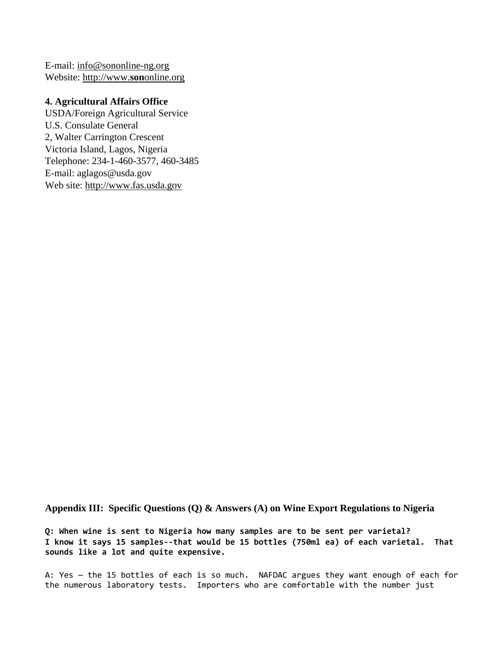E-mail: [info@sononline-ng.org](mailto:info@sononline-ng.org) Website: [http://www.](http://www.sononline.org/)**son**online.org

#### **4. Agricultural Affairs Office**

USDA/Foreign Agricultural Service U.S. Consulate General 2, Walter Carrington Crescent Victoria Island, Lagos, Nigeria Telephone: 234-1-460-3577, 460-3485 E-mail: aglagos@usda.gov Web site: [http://www.fas.usda.gov](http://www.fas.usda.gov/)

**Appendix III: Specific Questions (Q) & Answers (A) on Wine Export Regulations to Nigeria**

**Q: When wine is sent to Nigeria how many samples are to be sent per varietal? I know it says 15 samples--that would be 15 bottles (750ml ea) of each varietal. That sounds like a lot and quite expensive.**

A: Yes — the 15 bottles of each is so much. NAFDAC argues they want enough of each for the numerous laboratory tests. Importers who are comfortable with the number just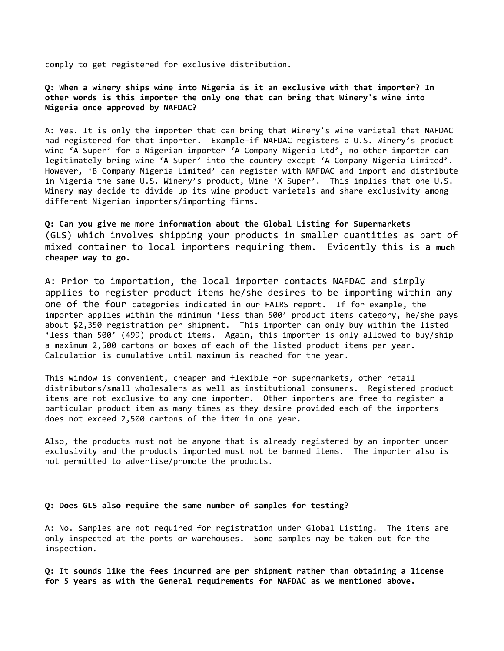comply to get registered for exclusive distribution.

**Q: When a winery ships wine into Nigeria is it an exclusive with that importer? In other words is this importer the only one that can bring that Winery's wine into Nigeria once approved by NAFDAC?**

A: Yes. It is only the importer that can bring that Winery's wine varietal that NAFDAC had registered for that importer. Example—if NAFDAC registers a U.S. Winery's product wine 'A Super' for a Nigerian importer 'A Company Nigeria Ltd', no other importer can legitimately bring wine 'A Super' into the country except 'A Company Nigeria Limited'. However, 'B Company Nigeria Limited' can register with NAFDAC and import and distribute in Nigeria the same U.S. Winery's product, Wine 'X Super'. This implies that one U.S. Winery may decide to divide up its wine product varietals and share exclusivity among different Nigerian importers/importing firms.

**Q: Can you give me more information about the Global Listing for Supermarkets** (GLS) which involves shipping your products in smaller quantities as part of mixed container to local importers requiring them. Evidently this is a **much cheaper way to go.**

A: Prior to importation, the local importer contacts NAFDAC and simply applies to register product items he/she desires to be importing within any one of the four categories indicated in our FAIRS report. If for example, the importer applies within the minimum 'less than 500' product items category, he/she pays about \$2,350 registration per shipment. This importer can only buy within the listed 'less than 500' (499) product items. Again, this importer is only allowed to buy/ship a maximum 2,500 cartons or boxes of each of the listed product items per year. Calculation is cumulative until maximum is reached for the year.

This window is convenient, cheaper and flexible for supermarkets, other retail distributors/small wholesalers as well as institutional consumers. Registered product items are not exclusive to any one importer. Other importers are free to register a particular product item as many times as they desire provided each of the importers does not exceed 2,500 cartons of the item in one year.

Also, the products must not be anyone that is already registered by an importer under exclusivity and the products imported must not be banned items. The importer also is not permitted to advertise/promote the products.

#### **Q: Does GLS also require the same number of samples for testing?**

A: No. Samples are not required for registration under Global Listing. The items are only inspected at the ports or warehouses. Some samples may be taken out for the inspection.

**Q: It sounds like the fees incurred are per shipment rather than obtaining a license for 5 years as with the General requirements for NAFDAC as we mentioned above.**